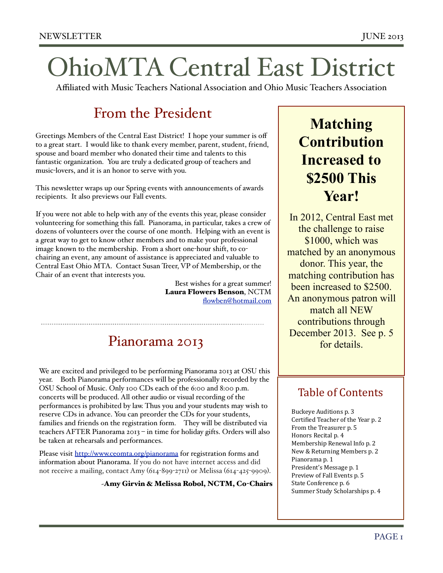# OhioMTA Central East District

Affiliated with Music Teachers National Association and Ohio Music Teachers Association

### From the President

Greetings Members of the Central East District! I hope your summer is off to a great start. I would like to thank every member, parent, student, friend, spouse and board member who donated their time and talents to this fantastic organization. You are truly a dedicated group of teachers and music-lovers, and it is an honor to serve with you.

This newsletter wraps up our Spring events with announcements of awards recipients. It also previews our Fall events.

If you were not able to help with any of the events this year, please consider volunteering for something this fall. Pianorama, in particular, takes a crew of dozens of volunteers over the course of one month. Helping with an event is a great way to get to know other members and to make your professional image known to the membership. From a short one-hour shift, to cochairing an event, any amount of assistance is appreciated and valuable to Central East Ohio MTA. Contact Susan Treer, VP of Membership, or the Chair of an event that interests you.

> Best wishes for a great summer! Laura Flowers Benson, NCTM [flowben@hotmail.com](mailto:flowben@hotmail.com)

#### Pianorama 2013

We are excited and privileged to be performing Pianorama 2013 at OSU this year. Both Pianorama performances will be professionally recorded by the OSU School of Music. Only 100 CDs each of the 6:00 and 8:00 p.m. concerts will be produced. All other audio or visual recording of the performances is prohibited by law. Thus you and your students may wish to reserve CDs in advance. You can preorder the CDs for your students, families and friends on the registration form. They will be distributed via teachers AFTER Pianorama 2013 – in time for holiday gifts. Orders will also be taken at rehearsals and performances.

Please visit<http://www.ceomta.org/pianorama>for registration forms and information about Pianorama. If you do not have internet access and did not receive a mailing, contact Amy (614-899-2711) or Melissa (614-425-9909).

~Amy Girvin & Melissa Robol, NCTM, Co-Chairs

### **Matching Contribution Increased to \$2500 This Year!**

In 2012, Central East met the challenge to raise \$1000, which was matched by an anonymous donor. This year, the matching contribution has been increased to \$2500. An anonymous patron will match all NEW contributions through December 2013. See p. 5 for details.

#### Table of Contents

Buckeye Auditions p. 3 Certified Teacher of the Year p. 2 From the Treasurer p. 5 Honors Recital p. 4 Membership Renewal Info p. 2 New & Returning Members p. 2 Pianorama p. 1 President's Message p. 1 Preview of Fall Events p. 5 State Conference p. 6 Summer Study Scholarships p. 4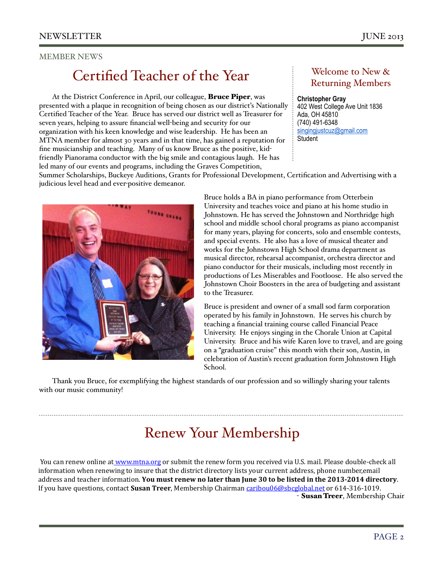#### MEMBER NEWS

### Certified Teacher of the Year Welcome to New &

At the District Conference in April, our colleague, **Bruce Piper**, was presented with a plaque in recognition of being chosen as our district's Nationally Certified Teacher of the Year. Bruce has served our district well as Treasurer for seven years, helping to assure financial well-being and security for our organization with his keen knowledge and wise leadership. He has been an MTNA member for almost 30 years and in that time, has gained a reputation for fine musicianship and teaching. Many of us know Bruce as the positive, kidfriendly Pianorama conductor with the big smile and contagious laugh. He has led many of our events and programs, including the Graves Competition,

## Returning Members

#### **Christopher Gray** 402 West College Ave Unit 1836

Ada, OH 45810 (740) 491-6348 [singingjustcuz@gmail.com](mailto:singingjustcuz@gmail.com) **Student** 

Summer Scholarships, Buckeye Auditions, Grants for Professional Development, Certification and Advertising with a judicious level head and ever-positive demeanor.

> Bruce holds a BA in piano performance from Otterbein University and teaches voice and piano at his home studio in Johnstown. He has served the Johnstown and Northridge high school and middle school choral programs as piano accompanist for many years, playing for concerts, solo and ensemble contests, and special events. He also has a love of musical theater and works for the Johnstown High School drama department as musical director, rehearsal accompanist, orchestra director and piano conductor for their musicals, including most recently in productions of Les Miserables and Footloose. He also served the Johnstown Choir Boosters in the area of budgeting and assistant to the Treasurer.

> Bruce is president and owner of a small sod farm corporation operated by his family in Johnstown. He serves his church by teaching a financial training course called Financial Peace University. He enjoys singing in the Chorale Union at Capital University. Bruce and his wife Karen love to travel, and are going on a "graduation cruise" this month with their son, Austin, in celebration of Austin's recent graduation form Johnstown High School.

Thank you Bruce, for exemplifying the highest standards of our profession and so willingly sharing your talents with our music community!

### Renew Your Membership

You can renew online at www.mtna.org or submit the renew form you received via U.S. mail. Please double-check all information when renewing to insure that the district directory lists your current address, phone number, email address and teacher information. **You must renew no later than June 30 to be listed in the 2013-2014 directory**. If you have questions, contact **Susan Treer**, Membership Chairman caribou06@sbcglobal.net or 614-316-1019. - Susan Treer, Membership Chair

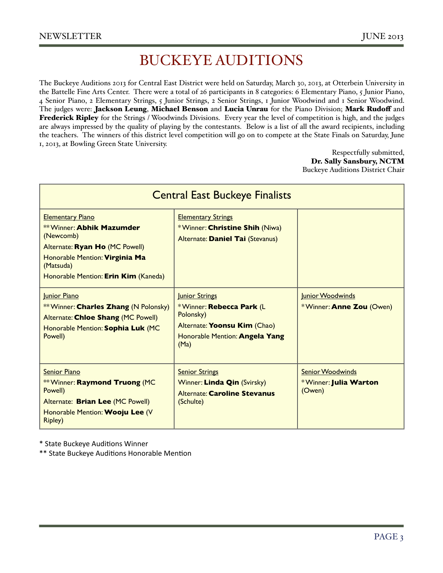### BUCKEYE AUDITIONS

The Buckeye Auditions 2013 for Central East District were held on Saturday, March 30, 2013, at Otterbein University in the Battelle Fine Arts Center. There were a total of 26 participants in 8 categories: 6 Elementary Piano, 5 Junior Piano, 4 Senior Piano, 2 Elementary Strings, 5 Junior Strings, 2 Senior Strings, 1 Junior Woodwind and 1 Senior Woodwind. The judges were: Jackson Leung, Michael Benson and Lucia Unrau for the Piano Division; Mark Rudoff and Frederick Ripley for the Strings / Woodwinds Divisions. Every year the level of competition is high, and the judges are always impressed by the quality of playing by the contestants. Below is a list of all the award recipients, including the teachers. The winners of this district level competition will go on to compete at the State Finals on Saturday, June 1, 2013, at Bowling Green State University.

> Respectfully submitted, Dr. Sally Sansbury, NCTM Buckeye Auditions District Chair

| <b>Central East Buckeye Finalists</b>                                                                                                                                                             |                                                                                                                                   |                                                            |  |  |  |
|---------------------------------------------------------------------------------------------------------------------------------------------------------------------------------------------------|-----------------------------------------------------------------------------------------------------------------------------------|------------------------------------------------------------|--|--|--|
| <b>Elementary Piano</b><br><b>** Winner: Abhik Mazumder</b><br>(Newcomb)<br>Alternate: Ryan Ho (MC Powell)<br>Honorable Mention: Virginia Ma<br>(Matsuda)<br>Honorable Mention: Erin Kim (Kaneda) | <b>Elementary Strings</b><br>*Winner: Christine Shih (Niwa)<br>Alternate: Daniel Tai (Stevanus)                                   |                                                            |  |  |  |
| Junior Piano<br><b>** Winner: Charles Zhang (N Polonsky)</b><br>Alternate: Chloe Shang (MC Powell)<br>Honorable Mention: Sophia Luk (MC<br>Powell)                                                | Junior Strings<br>*Winner: Rebecca Park (L<br>Polonsky)<br>Alternate: Yoonsu Kim (Chao)<br>Honorable Mention: Angela Yang<br>(Ma) | Junior Woodwinds<br>*Winner: Anne Zou (Owen)               |  |  |  |
| <b>Senior Piano</b><br><b>** Winner: Raymond Truong (MC</b><br>Powell)<br>Alternate: Brian Lee (MC Powell)<br>Honorable Mention: Wooju Lee (V<br><b>Ripley)</b>                                   | <b>Senior Strings</b><br>Winner: Linda Qin (Svirsky)<br><b>Alternate: Caroline Stevanus</b><br>(Schulte)                          | <b>Senior Woodwinds</b><br>*Winner: Julia Warton<br>(Owen) |  |  |  |

\* State Buckeye Auditions Winner

\*\* State Buckeye Auditions Honorable Mention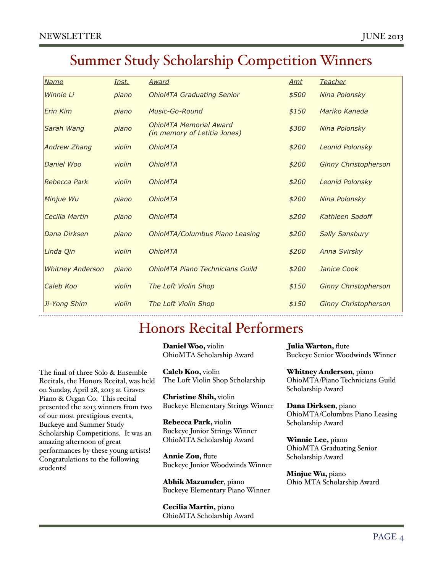### Summer Study Scholarship Competition Winners

| <b>Name</b>             | Inst.  | Award                                                         | Amt   | <b>Teacher</b>              |
|-------------------------|--------|---------------------------------------------------------------|-------|-----------------------------|
| Winnie Li               | piano  | <b>OhioMTA Graduating Senior</b>                              | \$500 | Nina Polonsky               |
| Erin Kim                | piano  | Music-Go-Round                                                | \$150 | Mariko Kaneda               |
| Sarah Wang              | piano  | <b>OhioMTA Memorial Award</b><br>(in memory of Letitia Jones) | \$300 | Nina Polonsky               |
| <b>Andrew Zhang</b>     | violin | <b>OhioMTA</b>                                                | \$200 | <b>Leonid Polonsky</b>      |
| Daniel Woo              | violin | <b>OhioMTA</b>                                                | \$200 | <b>Ginny Christopherson</b> |
| Rebecca Park            | violin | <b>OhioMTA</b>                                                | \$200 | <b>Leonid Polonsky</b>      |
| Minjue Wu               | piano  | <b>OhioMTA</b>                                                | \$200 | Nina Polonsky               |
| Cecilia Martin          | piano  | <b>OhioMTA</b>                                                | \$200 | Kathleen Sadoff             |
| Dana Dirksen            | piano  | <b>OhioMTA/Columbus Piano Leasing</b>                         | \$200 | <b>Sally Sansbury</b>       |
| Linda Oin               | violin | <b>OhioMTA</b>                                                | \$200 | <b>Anna Svirsky</b>         |
| <b>Whitney Anderson</b> | piano  | <b>OhioMTA Piano Technicians Guild</b>                        | \$200 | Janice Cook                 |
| Caleb Koo               | violin | The Loft Violin Shop                                          | \$150 | <b>Ginny Christopherson</b> |
| Ji-Yong Shim            | violin | The Loft Violin Shop                                          | \$150 | <b>Ginny Christopherson</b> |

### Honors Recital Performers

Daniel Woo, violin

The final of three Solo & Ensemble Recitals, the Honors Recital, was held on Sunday, April 28, 2013 at Graves Piano & Organ Co. This recital presented the 2013 winners from two of our most prestigious events, Buckeye and Summer Study Scholarship Competitions. It was an amazing afternoon of great performances by these young artists! Congratulations to the following students!

OhioMTA Scholarship Award

Caleb Koo, violin The Loft Violin Shop Scholarship

Christine Shih, violin Buckeye Elementary Strings Winner

Rebecca Park, violin Buckeye Junior Strings Winner OhioMTA Scholarship Award

Annie Zou, flute Buckeye Junior Woodwinds Winner

Abhik Mazumder, piano Buckeye Elementary Piano Winner

Cecilia Martin, piano OhioMTA Scholarship Award Julia Warton, flute Buckeye Senior Woodwinds Winner

Whitney Anderson, piano OhioMTA/Piano Technicians Guild Scholarship Award

Dana Dirksen, piano OhioMTA/Columbus Piano Leasing Scholarship Award

Winnie Lee, piano OhioMTA Graduating Senior Scholarship Award

Minjue Wu, piano Ohio MTA Scholarship Award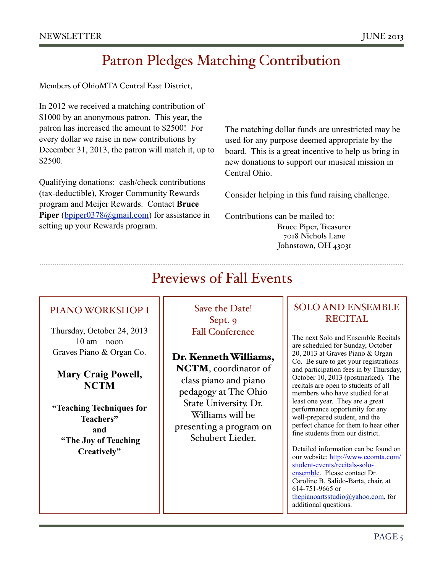### Patron Pledges Matching Contribution

Members of OhioMTA Central East District,

In 2012 we received a matching contribution of \$1000 by an anonymous patron. This year, the patron has increased the amount to \$2500! For every dollar we raise in new contributions by December 31, 2013, the patron will match it, up to \$2500.

Qualifying donations: cash/check contributions (tax-deductible), Kroger Community Rewards program and Meijer Rewards. Contact **Bruce**  Piper [\(bpiper0378@gmail.com\)](mailto:bpiper0378@gmail.com) for assistance in setting up your Rewards program.

The matching dollar funds are unrestricted may be used for any purpose deemed appropriate by the board. This is a great incentive to help us bring in new donations to support our musical mission in Central Ohio.

Consider helping in this fund raising challenge.

Contributions can be mailed to: Bruce Piper, Treasurer 7018 Nichols Lane Johnstown, OH 43031

### Previews of Fall Events

#### PIANO WORKSHOP I

Thursday, October 24, 2013 10 am – noon Graves Piano & Organ Co.

#### **Mary Craig Powell, NCTM**

**"Teaching Techniques for Teachers" and "The Joy of Teaching Creatively"**

Save the Date! Sept. 9 Fall Conference

Dr. Kenneth Williams, NCTM, coordinator of class piano and piano pedagogy at The Ohio State University. Dr. Williams will be presenting a program on Schubert Lieder.

#### SOLO AND ENSEMBLE RECITAL

The next Solo and Ensemble Recitals are scheduled for Sunday, October 20, 2013 at Graves Piano & Organ Co. Be sure to get your registrations and participation fees in by Thursday, October 10, 2013 (postmarked). The recitals are open to students of all members who have studied for at least one year. They are a great performance opportunity for any well-prepared student, and the perfect chance for them to hear other fine students from our district.

Detailed information can be found on our website: [http://www.ceomta.com/](http://www.ceomta.com/student-events/recitals-solo-ensemble) [student-events/recitals-solo](http://www.ceomta.com/student-events/recitals-solo-ensemble)[ensemble.](http://www.ceomta.com/student-events/recitals-solo-ensemble) Please contact Dr. Caroline B. Salido-Barta, chair, at 614-751-9665 or [thepianoartsstudio@yahoo.com,](mailto:thepianoartsstudio@yahoo.com) for additional questions.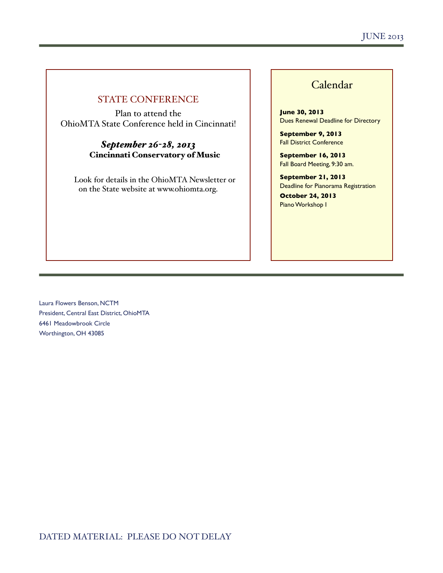#### STATE CONFERENCE

Plan to attend the OhioMTA State Conference held in Cincinnati!

#### *September 26-28, 2013* Cincinnati Conservatory of Music

Look for details in the OhioMTA Newsletter or on the State website at www.ohiomta.org.

#### Calendar

**June 30, 2013** Dues Renewal Deadline for Directory

**September 9, 2013** Fall District Conference

**September 16, 2013** Fall Board Meeting, 9:30 am.

**September 21, 2013** Deadline for Pianorama Registration

**October 24, 2013** Piano Workshop I

Laura Flowers Benson, NCTM President, Central East District, OhioMTA 6461 Meadowbrook Circle Worthington, OH 43085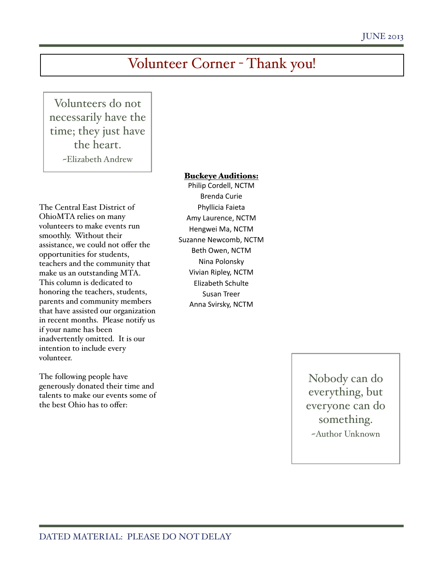### Volunteer Corner - Thank you!

Volunteers do not necessarily have the time; they just have the heart. ~Elizabeth Andrew

#### Buckeye Auditions:

The Central East District of OhioMTA relies on many volunteers to make events run smoothly. Without their assistance, we could not offer the opportunities for students, teachers and the community that make us an outstanding MTA. This column is dedicated to honoring the teachers, students, parents and community members that have assisted our organization in recent months. Please notify us if your name has been inadvertently omitted. It is our intention to include every volunteer.

The following people have generously donated their time and talents to make our events some of the best Ohio has to offer:

Philip Cordell, NCTM Brenda Curie Phyllicia Faieta Amy Laurence, NCTM Hengwei Ma, NCTM Suzanne Newcomb, NCTM Beth Owen, NCTM Nina Polonsky Vivian Ripley, NCTM Elizabeth Schulte Susan Treer Anna Svirsky, NCTM

> Nobody can do everything, but everyone can do something. ~Author Unknown